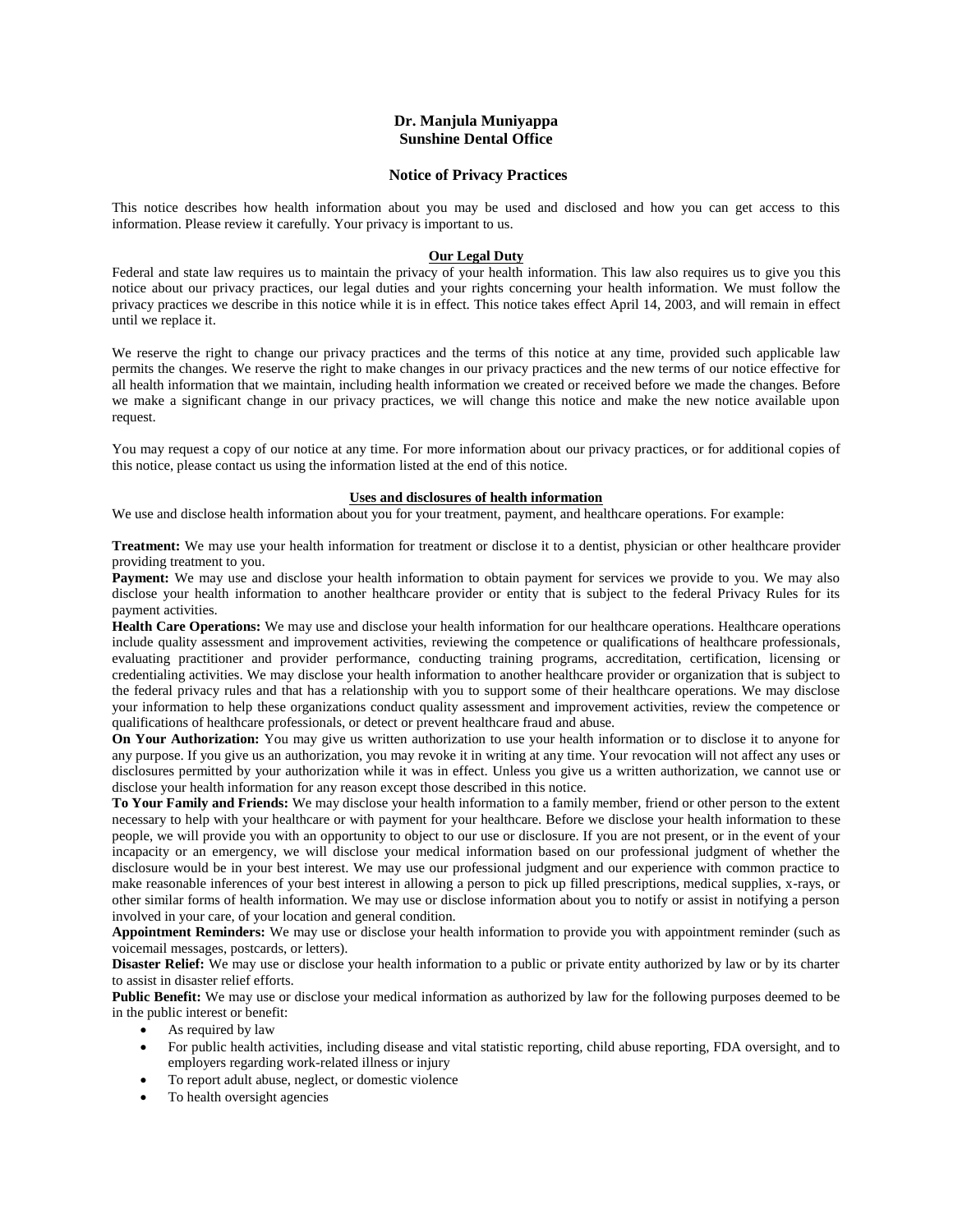# **Dr. Manjula Muniyappa Sunshine Dental Office**

### **Notice of Privacy Practices**

This notice describes how health information about you may be used and disclosed and how you can get access to this information. Please review it carefully. Your privacy is important to us.

## **Our Legal Duty**

Federal and state law requires us to maintain the privacy of your health information. This law also requires us to give you this notice about our privacy practices, our legal duties and your rights concerning your health information. We must follow the privacy practices we describe in this notice while it is in effect. This notice takes effect April 14, 2003, and will remain in effect until we replace it.

We reserve the right to change our privacy practices and the terms of this notice at any time, provided such applicable law permits the changes. We reserve the right to make changes in our privacy practices and the new terms of our notice effective for all health information that we maintain, including health information we created or received before we made the changes. Before we make a significant change in our privacy practices, we will change this notice and make the new notice available upon request.

You may request a copy of our notice at any time. For more information about our privacy practices, or for additional copies of this notice, please contact us using the information listed at the end of this notice.

#### **Uses and disclosures of health information**

We use and disclose health information about you for your treatment, payment, and healthcare operations. For example:

**Treatment:** We may use your health information for treatment or disclose it to a dentist, physician or other healthcare provider providing treatment to you.

Payment: We may use and disclose your health information to obtain payment for services we provide to you. We may also disclose your health information to another healthcare provider or entity that is subject to the federal Privacy Rules for its payment activities.

**Health Care Operations:** We may use and disclose your health information for our healthcare operations. Healthcare operations include quality assessment and improvement activities, reviewing the competence or qualifications of healthcare professionals, evaluating practitioner and provider performance, conducting training programs, accreditation, certification, licensing or credentialing activities. We may disclose your health information to another healthcare provider or organization that is subject to the federal privacy rules and that has a relationship with you to support some of their healthcare operations. We may disclose your information to help these organizations conduct quality assessment and improvement activities, review the competence or qualifications of healthcare professionals, or detect or prevent healthcare fraud and abuse.

**On Your Authorization:** You may give us written authorization to use your health information or to disclose it to anyone for any purpose. If you give us an authorization, you may revoke it in writing at any time. Your revocation will not affect any uses or disclosures permitted by your authorization while it was in effect. Unless you give us a written authorization, we cannot use or disclose your health information for any reason except those described in this notice.

**To Your Family and Friends:** We may disclose your health information to a family member, friend or other person to the extent necessary to help with your healthcare or with payment for your healthcare. Before we disclose your health information to these people, we will provide you with an opportunity to object to our use or disclosure. If you are not present, or in the event of your incapacity or an emergency, we will disclose your medical information based on our professional judgment of whether the disclosure would be in your best interest. We may use our professional judgment and our experience with common practice to make reasonable inferences of your best interest in allowing a person to pick up filled prescriptions, medical supplies, x-rays, or other similar forms of health information. We may use or disclose information about you to notify or assist in notifying a person involved in your care, of your location and general condition.

**Appointment Reminders:** We may use or disclose your health information to provide you with appointment reminder (such as voicemail messages, postcards, or letters).

**Disaster Relief:** We may use or disclose your health information to a public or private entity authorized by law or by its charter to assist in disaster relief efforts.

**Public Benefit:** We may use or disclose your medical information as authorized by law for the following purposes deemed to be in the public interest or benefit:

- As required by law
- For public health activities, including disease and vital statistic reporting, child abuse reporting, FDA oversight, and to employers regarding work-related illness or injury
- To report adult abuse, neglect, or domestic violence
- To health oversight agencies